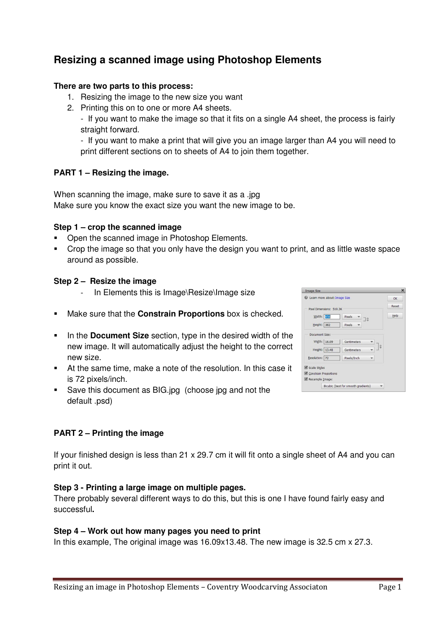# **Resizing a scanned image using Photoshop Elements**

### **There are two parts to this process:**

- 1. Resizing the image to the new size you want
- 2. Printing this on to one or more A4 sheets.

- If you want to make the image so that it fits on a single A4 sheet, the process is fairly straight forward.

- If you want to make a print that will give you an image larger than A4 you will need to print different sections on to sheets of A4 to join them together.

# **PART 1 – Resizing the image.**

When scanning the image, make sure to save it as a .jpg Make sure you know the exact size you want the new image to be.

## **Step 1 – crop the scanned image**

- Open the scanned image in Photoshop Elements.
- Crop the image so that you only have the design you want to print, and as little waste space around as possible.

## **Step 2 – Resize the image**

- In Elements this is Image\Resize\Image size
- Make sure that the **Constrain Proportions** box is checked.
- **IDED** In the **Document Size** section, type in the desired width of the new image. It will automatically adjust the height to the correct new size.
- At the same time, make a note of the resolution. In this case it is 72 pixels/inch.
- **Save this document as BIG.jpg (choose jpg and not the** default .psd)

# **PART 2 – Printing the image**

If your finished design is less than 21 x 29.7 cm it will fit onto a single sheet of A4 and you can print it out.

#### **Step 3 - Printing a large image on multiple pages.**

There probably several different ways to do this, but this is one I have found fairly easy and successful**.** 

#### **Step 4 – Work out how many pages you need to print**

In this example, The original image was 16.09x13.48. The new image is 32.5 cm x 27.3.

| Width: 456<br>Pixels<br>Height: 382<br>Pixels | $\exists$ 3 |    | Help |
|-----------------------------------------------|-------------|----|------|
|                                               |             |    |      |
|                                               |             |    |      |
| Document Size:                                |             |    |      |
| Width: 16.09                                  | Centimeters |    |      |
| Height:   13.48                               | Centimeters | G) |      |
| Resolution: 72<br>Pixels/Inch                 |             |    |      |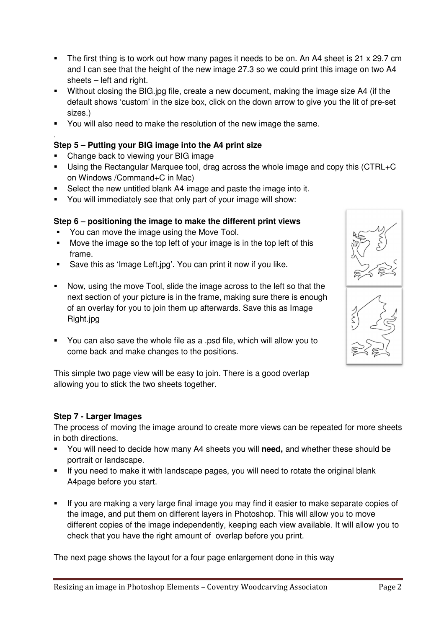- The first thing is to work out how many pages it needs to be on. An A4 sheet is 21  $\times$  29.7 cm and I can see that the height of the new image 27.3 so we could print this image on two A4 sheets – left and right.
- Without closing the BIG.jpg file, create a new document, making the image size A4 (if the default shows 'custom' in the size box, click on the down arrow to give you the lit of pre-set sizes.)
- You will also need to make the resolution of the new image the same.

# **Step 5 – Putting your BIG image into the A4 print size**

• Change back to viewing your BIG image

.

- Using the Rectangular Marquee tool, drag across the whole image and copy this (CTRL+C on Windows /Command+C in Mac)
- Select the new untitled blank A4 image and paste the image into it.
- You will immediately see that only part of your image will show:

# **Step 6 – positioning the image to make the different print views**

- You can move the image using the Move Tool.
- Move the image so the top left of your image is in the top left of this frame.
- Save this as 'Image Left.jpg'. You can print it now if you like.
- Now, using the move Tool, slide the image across to the left so that the next section of your picture is in the frame, making sure there is enough of an overlay for you to join them up afterwards. Save this as Image Right.jpg
- You can also save the whole file as a .psd file, which will allow you to come back and make changes to the positions.

This simple two page view will be easy to join. There is a good overlap allowing you to stick the two sheets together.

# **Step 7 - Larger Images**

The process of moving the image around to create more views can be repeated for more sheets in both directions.

- You will need to decide how many A4 sheets you will **need,** and whether these should be portrait or landscape.
- If you need to make it with landscape pages, you will need to rotate the original blank A4page before you start.
- If you are making a very large final image you may find it easier to make separate copies of the image, and put them on different layers in Photoshop. This will allow you to move different copies of the image independently, keeping each view available. It will allow you to check that you have the right amount of overlap before you print.

The next page shows the layout for a four page enlargement done in this way